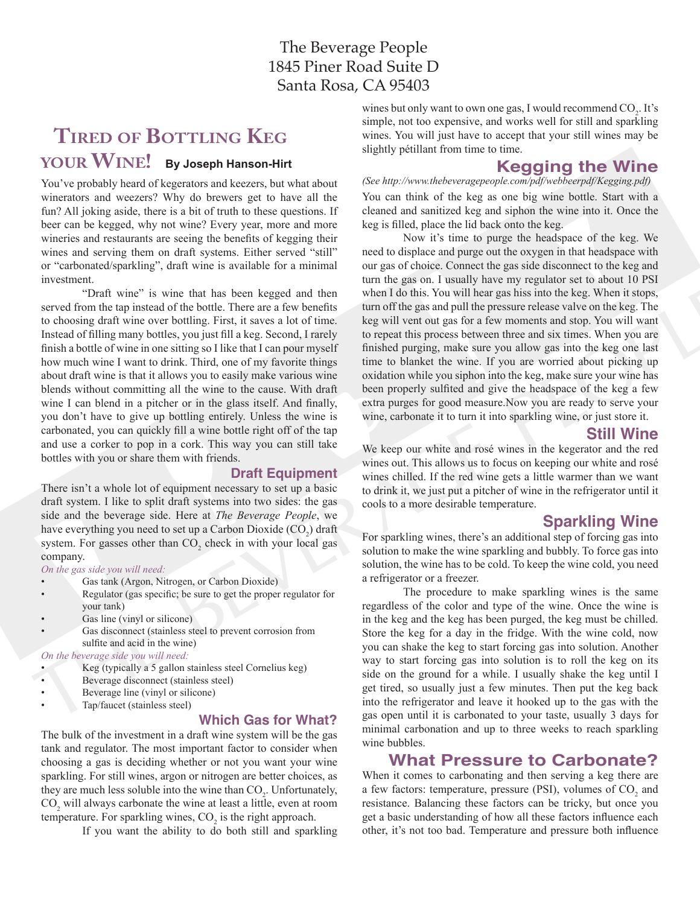# **Tired of Bottling Keg your Wine! By Joseph Hanson-Hirt**

You've probably heard of kegerators and keezers, but what about winerators and weezers? Why do brewers get to have all the fun? All joking aside, there is a bit of truth to these questions. If beer can be kegged, why not wine? Every year, more and more wineries and restaurants are seeing the benefits of kegging their wines and serving them on draft systems. Either served "still" or "carbonated/sparkling", draft wine is available for a minimal investment.

"Draft wine" is wine that has been kegged and then served from the tap instead of the bottle. There are a few benefits to choosing draft wine over bottling. First, it saves a lot of time. Instead of filling many bottles, you just fill a keg. Second, I rarely finish a bottle of wine in one sitting so I like that I can pour myself how much wine I want to drink. Third, one of my favorite things about draft wine is that it allows you to easily make various wine blends without committing all the wine to the cause. With draft wine I can blend in a pitcher or in the glass itself. And finally, you don't have to give up bottling entirely. Unless the wine is carbonated, you can quickly fill a wine bottle right off of the tap and use a corker to pop in a cork. This way you can still take bottles with you or share them with friends.

#### **Draft Equipment**

There isn't a whole lot of equipment necessary to set up a basic draft system. I like to split draft systems into two sides: the gas side and the beverage side. Here at *The Beverage People*, we have everything you need to set up a Carbon Dioxide  $(CO_2)$  draft system. For gasses other than  $CO_2$  check in with your local gas company.

*On the gas side you will need:*

- Gas tank (Argon, Nitrogen, or Carbon Dioxide)
- Regulator (gas specific; be sure to get the proper regulator for your tank)
- Gas line (vinyl or silicone)
- Gas disconnect (stainless steel to prevent corrosion from sulfite and acid in the wine)

*On the beverage side you will need:*

- Keg (typically a 5 gallon stainless steel Cornelius keg)
- Beverage disconnect (stainless steel)
- Beverage line (vinyl or silicone)
- Tap/faucet (stainless steel)

#### **Which Gas for What?**

The bulk of the investment in a draft wine system will be the gas tank and regulator. The most important factor to consider when choosing a gas is deciding whether or not you want your wine sparkling. For still wines, argon or nitrogen are better choices, as they are much less soluble into the wine than  $CO_2$ . Unfortunately,  $CO<sub>2</sub>$  will always carbonate the wine at least a little, even at room temperature. For sparkling wines,  $CO<sub>2</sub>$  is the right approach.

If you want the ability to do both still and sparkling

wines but only want to own one gas, I would recommend  $CO<sub>2</sub>$ . It's simple, not too expensive, and works well for still and sparkling wines. You will just have to accept that your still wines may be slightly pétillant from time to time.

## **Kegging the Wine**

*(See http://www.thebeveragepeople.com/pdf/webbeerpdf/Kegging.pdf)* You can think of the keg as one big wine bottle. Start with a cleaned and sanitized keg and siphon the wine into it. Once the keg is filled, place the lid back onto the keg.

Now it's time to purge the headspace of the keg. We need to displace and purge out the oxygen in that headspace with our gas of choice. Connect the gas side disconnect to the keg and turn the gas on. I usually have my regulator set to about 10 PSI when I do this. You will hear gas hiss into the keg. When it stops, turn off the gas and pull the pressure release valve on the keg. The keg will vent out gas for a few moments and stop. You will want to repeat this process between three and six times. When you are finished purging, make sure you allow gas into the keg one last time to blanket the wine. If you are worried about picking up oxidation while you siphon into the keg, make sure your wine has been properly sulfited and give the headspace of the keg a few extra purges for good measure.Now you are ready to serve your wine, carbonate it to turn it into sparkling wine, or just store it.

### **Still Wine**

We keep our white and rosé wines in the kegerator and the red wines out. This allows us to focus on keeping our white and rosé wines chilled. If the red wine gets a little warmer than we want to drink it, we just put a pitcher of wine in the refrigerator until it cools to a more desirable temperature.

### **Sparkling Wine**

For sparkling wines, there's an additional step of forcing gas into solution to make the wine sparkling and bubbly. To force gas into solution, the wine has to be cold. To keep the wine cold, you need a refrigerator or a freezer.

The procedure to make sparkling wines is the same regardless of the color and type of the wine. Once the wine is in the keg and the keg has been purged, the keg must be chilled. Store the keg for a day in the fridge. With the wine cold, now you can shake the keg to start forcing gas into solution. Another way to start forcing gas into solution is to roll the keg on its side on the ground for a while. I usually shake the keg until I get tired, so usually just a few minutes. Then put the keg back into the refrigerator and leave it hooked up to the gas with the gas open until it is carbonated to your taste, usually 3 days for minimal carbonation and up to three weeks to reach sparkling wine bubbles.

### **What Pressure to Carbonate?**

When it comes to carbonating and then serving a keg there are a few factors: temperature, pressure (PSI), volumes of  $CO<sub>2</sub>$  and resistance. Balancing these factors can be tricky, but once you get a basic understanding of how all these factors influence each other, it's not too bad. Temperature and pressure both influence